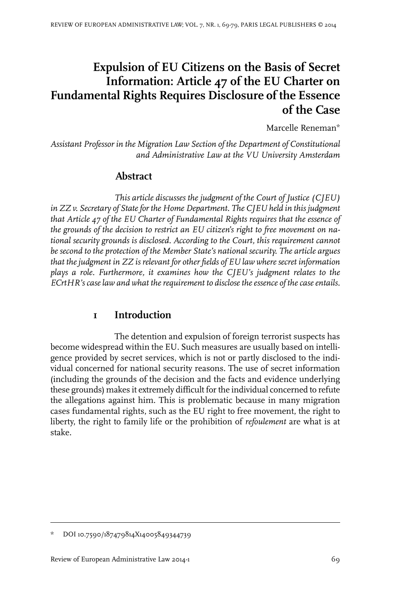# **Expulsion of EU Citizens on the Basis of Secret Information: Article 47 of the EU Charter on Fundamental Rights Requires Disclosure of the Essence of the Case**

Marcelle Reneman\*

*Assistant Professor in the Migration Law Section of the Department of Constitutional and Administrative Law at the VU University Amsterdam*

### **Abstract**

*This article discusses the judgment of the Court of Justice (CJEU) in ZZ v. Secretary of Statefor the Home Department. The CJEU held in this judgment that Article 47 of the EU Charter of Fundamental Rights requires that the essence of the grounds of the decision to restrict an EU citizen's right to free movement on national security grounds is disclosed. According to the Court, this requirement cannot be second to the protection of the Member State's national security. The article argues that the judgment in ZZ is relevant for other fields of EU law where secret information plays a role. Furthermore, it examines how the CJEU's judgment relates to the ECrtHR's case law and what the requirement to disclose the essence of the case entails.*

## **1 Introduction**

The detention and expulsion of foreign terrorist suspects has become widespread within the EU. Such measures are usually based on intelligence provided by secret services, which is not or partly disclosed to the individual concerned for national security reasons. The use of secret information (including the grounds of the decision and the facts and evidence underlying these grounds) makes it extremely difficult forthe individual concerned to refute the allegations against him. This is problematic because in many migration cases fundamental rights, such as the EU right to free movement, the right to liberty, the right to family life or the prohibition of *refoulement* are what is at stake.

DOI 10.7590/187479814X14005849344739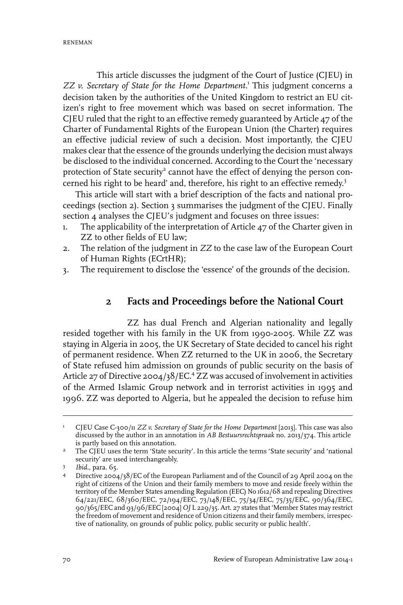This article discusses the judgment of the Court of Justice (CJEU) in *ZZ v. Secretary of State for the Home Department*. 1 This judgment concerns a decision taken by the authorities of the United Kingdom to restrict an EU citizen's right to free movement which was based on secret information. The CJEU ruled that the right to an effective remedy guaranteed by Article 47 of the Charter of Fundamental Rights of the European Union (the Charter) requires an effective judicial review of such a decision. Most importantly, the CJEU makes clear that the essence of the grounds underlying the decision must always be disclosed to the individual concerned. According to the Court the 'necessary protection of State security<sup>2</sup> cannot have the effect of denying the person concerned his right to be heard' and, therefore, his right to an effective remedy. 3

This article will start with a brief description of the facts and national proceedings (section 2). Section 3 summarises the judgment of the CJEU. Finally section 4 analyses the CJEU's judgment and focuses on three issues:

- 1. The applicability of the interpretation of Article 47 of the Charter given in ZZ to other fields of EU law;
- 2. The relation of the judgment in *ZZ* to the case law of the European Court of Human Rights (ECrtHR);
- 3. The requirement to disclose the 'essence' of the grounds of the decision.

### **2 Facts and Proceedings before the National Court**

ZZ has dual French and Algerian nationality and legally resided together with his family in the UK from 1990-2005. While ZZ was staying in Algeria in 2005, the UK Secretary of State decided to cancel his right of permanent residence. When ZZ returned to the UK in 2006, the Secretary of State refused him admission on grounds of public security on the basis of Article 27 of Directive 2004/38/EC.<sup>4</sup> ZZ was accused of involvement in activities of the Armed Islamic Group network and in terrorist activities in 1995 and 1996. ZZ was deported to Algeria, but he appealed the decision to refuse him

CJEU Case C-300/11 *ZZ v. Secretary of State for the Home Department* [2013]. This case was also discussed by the author in an annotation in *AB Bestuursrechtspraak* no. 2013/374. This article is partly based on this annotation. 1

<sup>&</sup>lt;sup>2</sup> The CJEU uses the term 'State security'. In this article the terms 'State security' and 'national security' are used interchangeably.

*Ibid.*, para. 65.

Directive 2004/38/EC of the European Parliament and of the Council of 29 April 2004 on the right of citizens of the Union and their family members to move and reside freely within the 4 territory of the Member States amending Regulation (EEC) No 1612/68 and repealing Directives 64/221/EEC, 68/360/EEC, 72/194/EEC, 73/148/EEC, 75/34/EEC, 75/35/EEC, 90/364/EEC, 90/365/EEC and 93/96/EEC [2004] *OJ* L 229/35. Art. 27 states that 'Member States may restrict the freedom of movement and residence of Union citizens and their family members, irrespective of nationality, on grounds of public policy, public security or public health'.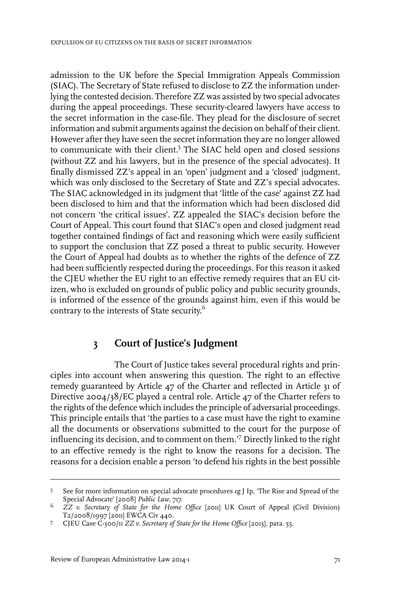admission to the UK before the Special Immigration Appeals Commission (SIAC). The Secretary of State refused to disclose to ZZ the information underlying the contested decision. Therefore ZZ was assisted by two special advocates during the appeal proceedings. These security-cleared lawyers have access to the secret information in the case-file. They plead for the disclosure of secret information and submit arguments against the decision on behalf of their client. However after they have seen the secret information they are no longer allowed to communicate with their client.<sup>5</sup> The SIAC held open and closed sessions (without ZZ and his lawyers, but in the presence of the special advocates). It finally dismissed ZZ's appeal in an 'open' judgment and a 'closed' judgment, which was only disclosed to the Secretary of State and ZZ's special advocates. The SIAC acknowledged in its judgment that 'little of the case' against ZZ had been disclosed to him and that the information which had been disclosed did not concern 'the critical issues'. ZZ appealed the SIAC's decision before the Court of Appeal. This court found that SIAC's open and closed judgment read together contained findings of fact and reasoning which were easily sufficient to support the conclusion that ZZ posed a threat to public security. However the Court of Appeal had doubts as to whether the rights of the defence of ZZ had been sufficiently respected during the proceedings. For this reason it asked the CJEU whether the EU right to an effective remedy requires that an EU citizen, who is excluded on grounds of public policy and public security grounds, is informed of the essence of the grounds against him, even if this would be contrary to the interests of State security. 6

### **3 Court of Justice's Judgment**

The Court of Justice takes several procedural rights and principles into account when answering this question. The right to an effective remedy guaranteed by Article 47 of the Charter and reflected in Article 31 of Directive 2004/38/EC played a central role. Article 47 of the Charter refers to the rights of the defence which includes the principle of adversarial proceedings. This principle entails that 'the parties to a case must have the right to examine all the documents or observations submitted to the court for the purpose of influencing its decision, and to comment on them.'<sup>7</sup> Directly linked to the right to an effective remedy is the right to know the reasons for a decision. The reasons for a decision enable a person 'to defend his rights in the best possible

See for more information on special advocate procedures *eg* J Ip, 'The Rise and Spread of the Special Advocate' [2008] *Public Law*, 717. 5

*ZZ v. Secretary of State for the Home Office* [2011] UK Court of Appeal (Civil Division) 6 T2/2008/1997 [2011] EWCA Civ 440.

CJEU Case C-300/11 *ZZ v. Secretary of State for the Home Office* [2013], para. 55. <sup>7</sup>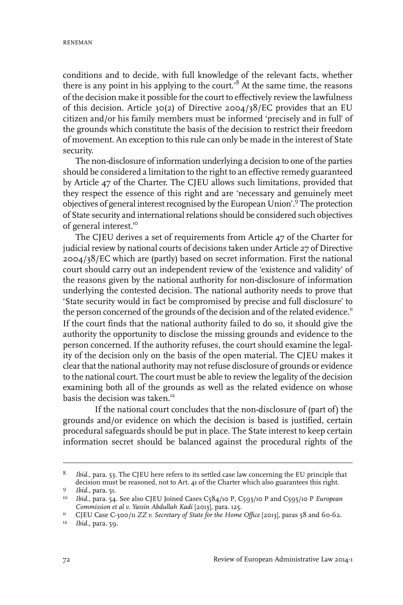conditions and to decide, with full knowledge of the relevant facts, whether there is any point in his applying to the court.<sup>8</sup> At the same time, the reasons of the decision make it possible forthe court to effectively review the lawfulness of this decision. Article 30(2) of Directive 2004/38/EC provides that an EU citizen and/or his family members must be informed 'precisely and in full' of the grounds which constitute the basis of the decision to restrict their freedom of movement. An exception to this rule can only be made in the interest of State security.

The non-disclosure of information underlying a decision to one of the parties should be considered a limitation to the right to an effective remedy guaranteed by Article 47 of the Charter. The CJEU allows such limitations, provided that they respect the essence of this right and are 'necessary and genuinely meet objectives of general interest recognised by the European Union'.<sup>9</sup> The protection of State security and international relations should be considered such objectives of general interest.<sup>10</sup>

The CJEU derives a set of requirements from Article 47 of the Charter for judicial review by national courts of decisions taken under Article 27 of Directive 2004/38/EC which are (partly) based on secret information. First the national court should carry out an independent review of the 'existence and validity' of the reasons given by the national authority for non-disclosure of information underlying the contested decision. The national authority needs to prove that 'State security would in fact be compromised by precise and full disclosure' to the person concerned of the grounds of the decision and of the related evidence.<sup>11</sup> If the court finds that the national authority failed to do so, it should give the authority the opportunity to disclose the missing grounds and evidence to the person concerned. If the authority refuses, the court should examine the legality of the decision only on the basis of the open material. The CJEU makes it clearthat the national authority may notrefuse disclosure of grounds or evidence to the national court. The court must be able to review the legality of the decision examining both all of the grounds as well as the related evidence on whose basis the decision was taken.<sup>12</sup>

If the national court concludes that the non-disclosure of (part of) the grounds and/or evidence on which the decision is based is justified, certain procedural safeguards should be put in place. The State interest to keep certain information secret should be balanced against the procedural rights of the

*Ibid.*, para. 53. The CJEU here refers to its settled case law concerning the EU principle that decision must be reasoned, not to Art. 41 of the Charter which also guarantees this right. 8

*Ibid.*, para. 51. <sup>9</sup>

<sup>&</sup>lt;sup>10</sup> Ibid., para. 54. See also CJEU Joined Cases C584/10 P, C593/10 P and C595/10 P *European Commission et al v. Yassin Abdullah Kadi* [2013], para. 125.

<sup>&</sup>lt;sup>11</sup> CJEU Case C-300/11 *ZZ v. Secretary of State for the Home Office* [2013], paras 58 and 60-62.

<sup>&</sup>lt;sup>12</sup> *Ibid.*, para. 59.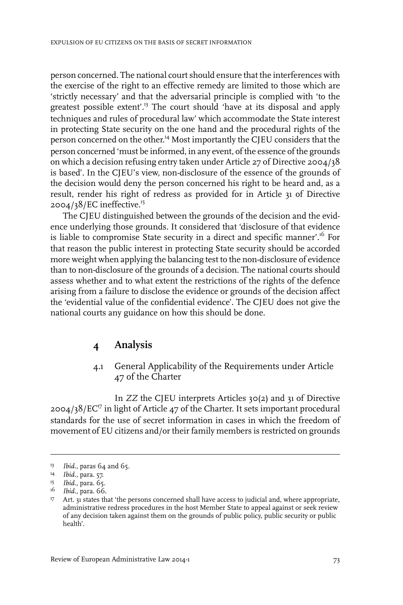person concerned. The national court should ensure that the interferences with the exercise of the right to an effective remedy are limited to those which are 'strictly necessary' and that the adversarial principle is complied with 'to the greatest possible extent'.<sup>13</sup> The court should 'have at its disposal and apply techniques and rules of procedural law' which accommodate the State interest in protecting State security on the one hand and the procedural rights of the person concerned on the other.<sup>14</sup> Most importantly the CJEU considers that the person concerned 'must be informed, in any event, of the essence of the grounds on which a decision refusing entry taken under Article 27 of Directive 2004/38 is based'. In the CJEU's view, non-disclosure of the essence of the grounds of the decision would deny the person concerned his right to be heard and, as a result, render his right of redress as provided for in Article 31 of Directive 2004/38/EC ineffective.<sup>15</sup>

The CJEU distinguished between the grounds of the decision and the evidence underlying those grounds. It considered that 'disclosure of that evidence is liable to compromise State security in a direct and specific manner'.<sup>16</sup> For that reason the public interest in protecting State security should be accorded more weight when applying the balancing test to the non-disclosure of evidence than to non-disclosure of the grounds of a decision. The national courts should assess whether and to what extent the restrictions of the rights of the defence arising from a failure to disclose the evidence or grounds of the decision affect the 'evidential value of the confidential evidence'. The CJEU does not give the national courts any guidance on how this should be done.

### **4 Analysis**

#### 4.1 General Applicability of the Requirements under Article 47 of the Charter

In *ZZ* the CJEU interprets Articles 30(2) and 31 of Directive  $2004/38/EC^{17}$  in light of Article 47 of the Charter. It sets important procedural standards for the use of secret information in cases in which the freedom of movement of EU citizens and/or their family members is restricted on grounds

<sup>&</sup>lt;sup>13</sup> *Ibid.*, paras 64 and 65.

*Ibid.*, para. 57. 14

<sup>&</sup>lt;sup>15</sup> Ibid., para. 65.

<sup>&</sup>lt;sup>16</sup> *Ibid.*, para. 66.

<sup>&</sup>lt;sup>17</sup> Art. 31 states that 'the persons concerned shall have access to judicial and, where appropriate, administrative redress procedures in the host Member State to appeal against or seek review of any decision taken against them on the grounds of public policy, public security or public health'.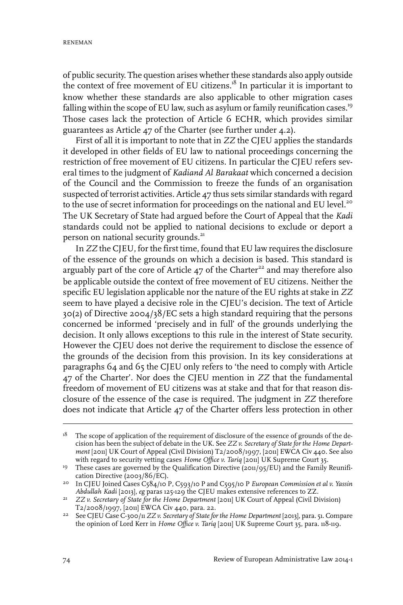of public security. The question arises whether these standards also apply outside the context of free movement of EU citizens.<sup>18</sup> In particular it is important to know whether these standards are also applicable to other migration cases falling within the scope of EU law, such as asylum or family reunification cases.<sup>19</sup> Those cases lack the protection of Article 6 ECHR, which provides similar guarantees as Article 47 of the Charter (see further under 4.2).

First of all it is important to note that in *ZZ* the CJEU applies the standards it developed in other fields of EU law to national proceedings concerning the restriction of free movement of EU citizens. In particular the CJEU refers several times to the judgment of *Kadiand Al Barakaat* which concerned a decision of the Council and the Commission to freeze the funds of an organisation suspected of terrorist activities. Article 47 thus sets similar standards with regard to the use of secret information for proceedings on the national and EU level.<sup>20</sup> The UK Secretary of State had argued before the Court of Appeal that the *Kadi* standards could not be applied to national decisions to exclude or deport a person on national security grounds.<sup>21</sup>

In *ZZ* the CJEU, for the first time, found that EU law requires the disclosure of the essence of the grounds on which a decision is based. This standard is arguably part of the core of Article  $47$  of the Charter<sup>22</sup> and may therefore also be applicable outside the context of free movement of EU citizens. Neither the specific EU legislation applicable nor the nature of the EU rights at stake in *ZZ* seem to have played a decisive role in the CJEU's decision. The text of Article 30(2) of Directive 2004/38/EC sets a high standard requiring that the persons concerned be informed 'precisely and in full' of the grounds underlying the decision. It only allows exceptions to this rule in the interest of State security. However the CJEU does not derive the requirement to disclose the essence of the grounds of the decision from this provision. In its key considerations at paragraphs 64 and 65 the CJEU only refers to 'the need to comply with Article 47 of the Charter'. Nor does the CJEU mention in *ZZ* that the fundamental freedom of movement of EU citizens was at stake and that for that reason disclosure of the essence of the case is required. The judgment in *ZZ* therefore does not indicate that Article 47 of the Charter offers less protection in other

The scope of application of the requirement of disclosure of the essence of grounds of the decision has been the subject of debate in the UK. See *ZZ v. Secretary of State for the Home Depart-*18 *ment* [2011] UK Court of Appeal (Civil Division) T2/2008/1997, [2011] EWCA Civ 440. See also with regard to security vetting cases *Home Office v. Tariq* [2011] UK Supreme Court 35.

<sup>&</sup>lt;sup>19</sup> These cases are governed by the Qualification Directive ( $201/95/EU$ ) and the Family Reunification Directive (2003/86/EC).

In CJEU Joined Cases C584/10 P, C593/10 P and C595/10 P *European Commission et al v. Yassin* 20 *Abdullah Kadi* [2013], *eg* paras 125-129 the CJEU makes extensive references to ZZ.

*ZZ v. Secretary of State for the Home Department* [2011] UK Court of Appeal (Civil Division) 21 T2/2008/1997, [2011] EWCA Civ 440, para. 22.

See CJEU Case C-300/11 *ZZ v. Secretary of Statefor the Home Department* [2013], para. 51. Compare 22 the opinion of Lord Kerr in *Home Office v. Tariq* [2011] UK Supreme Court 35, para. 118-119.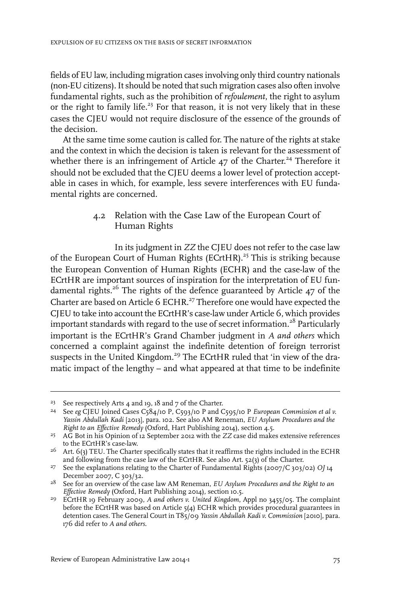fields of EU law, including migration cases involving only third country nationals (non-EU citizens). It should be noted that such migration cases also often involve fundamental rights, such as the prohibition of *refoulement*, the right to asylum or the right to family life.<sup>23</sup> For that reason, it is not very likely that in these cases the CJEU would not require disclosure of the essence of the grounds of the decision.

At the same time some caution is called for. The nature of the rights at stake and the context in which the decision is taken is relevant for the assessment of whether there is an infringement of Article 47 of the Charter. <sup>24</sup> Therefore it should not be excluded that the CJEU deems a lower level of protection acceptable in cases in which, for example, less severe interferences with EU fundamental rights are concerned.

#### 4.2 Relation with the Case Law of the European Court of Human Rights

In its judgment in *ZZ* the CJEU does not refer to the case law of the European Court of Human Rights (ECrtHR).<sup>25</sup> This is striking because the European Convention of Human Rights (ECHR) and the case-law of the ECrtHR are important sources of inspiration for the interpretation of EU fundamental rights.<sup>26</sup> The rights of the defence guaranteed by Article 47 of the Charter are based on Article 6 ECHR.<sup>27</sup> Therefore one would have expected the CJEU to take into account the ECrtHR's case-law under Article 6, which provides important standards with regard to the use of secret information.<sup>28</sup> Particularly important is the ECrtHR's Grand Chamber judgment in *A and others* which concerned a complaint against the indefinite detention of foreign terrorist suspects in the United Kingdom.<sup>29</sup> The ECrtHR ruled that 'in view of the dramatic impact of the lengthy – and what appeared at that time to be indefinite

<sup>&</sup>lt;sup>23</sup> See respectively Arts 4 and 19, 18 and 7 of the Charter.

See *eg* CJEU Joined Cases C584/10 P, C593/10 P and C595/10 P *European Commission et al v.* 24 *Yassin Abdullah Kadi* [2013], para. 102. See also AM Reneman, *EU Asylum Procedures and the Right to an Effective Remedy* (Oxford, Hart Publishing 2014), section 4.5.

AG Bot in his Opinion of 12 September 2012 with the *ZZ* case did makes extensive references 25 to the ECrtHR's case-law.

 $^{26}$   $\,$  Art. 6(3) TEU. The Charter specifically states that it reaffirms the rights included in the ECHR and following from the case law of the ECrtHR. See also Art. 52(3) of the Charter.

See the explanations relating to the Charter of Fundamental Rights (2007/C 303/02) *OJ* 14 27 December 2007, C 303/32.

See for an overview of the case law AM Reneman, *EU Asylum Procedures and the Right to an* 28 *Effective Remedy* (Oxford, Hart Publishing 2014), section 10.5.

ECrtHR 19 February 2009, *A and others v. United Kingdom*, Appl no 3455/05. The complaint 29 before the ECrtHR was based on Article 5(4) ECHR which provides procedural guarantees in detention cases. The General Court in T85/09 *Yassin Abdullah Kadi v. Commission* [2010], para. 176 did refer to *A and others*.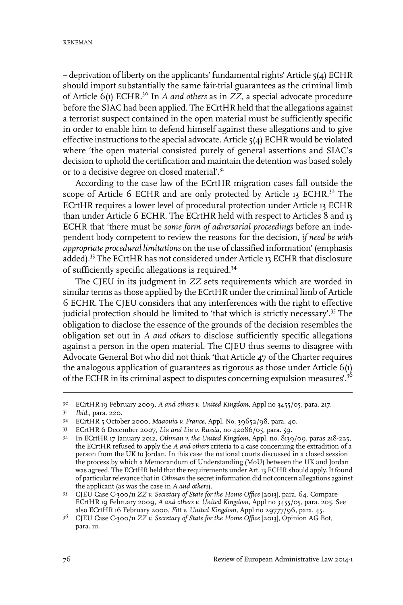– deprivation of liberty on the applicants' fundamental rights' Article 5(4) ECHR should import substantially the same fair-trial guarantees as the criminal limb of Article 6(1) ECHR.<sup>30</sup> In *A and others* as in *ZZ,* a special advocate procedure before the SIAC had been applied. The ECrtHR held that the allegations against a terrorist suspect contained in the open material must be sufficiently specific in order to enable him to defend himself against these allegations and to give effective instructions to the special advocate. Article 5(4) ECHR would be violated where 'the open material consisted purely of general assertions and SIAC's decision to uphold the certification and maintain the detention was based solely or to a decisive degree on closed material'.<sup>31</sup>

According to the case law of the ECrtHR migration cases fall outside the scope of Article 6 ECHR and are only protected by Article 13 ECHR.<sup>32</sup> The ECrtHR requires a lower level of procedural protection under Article 13 ECHR than under Article 6 ECHR. The ECrtHR held with respect to Articles 8 and 13 ECHR that 'there must be *some form of adversarial proceedings* before an independent body competent to review the reasons for the decision, *if need be with appropriate procedural limitations* on the use of classified information' (emphasis added).<sup>33</sup> The ECrtHR has not considered under Article 13 ECHR that disclosure of sufficiently specific allegations is required.<sup>34</sup>

The CJEU in its judgment in *ZZ* sets requirements which are worded in similar terms as those applied by the ECrtHR under the criminal limb of Article 6 ECHR. The CJEU considers that any interferences with the right to effective judicial protection should be limited to 'that which is strictly necessary'.<sup>35</sup> The obligation to disclose the essence of the grounds of the decision resembles the obligation set out in *A and others* to disclose sufficiently specific allegations against a person in the open material. The CJEU thus seems to disagree with Advocate General Bot who did not think 'that Article 47 of the Charter requires the analogous application of guarantees as rigorous as those under Article 6(1) of the ECHR in its criminal aspect to disputes concerning expulsion measures'.<sup>36</sup>

ECrtHR 19 February 2009, *A and others v. United Kingdom*, Appl no 3455/05, para. 217. 30

<sup>&</sup>lt;sup>31</sup> *Ibid.*, para. 220.

<sup>&</sup>lt;sup>32</sup> ECrtHR 5 October 2000, *Maaouia v. France*, Appl. No. 39652/98, para. 40.

ECrtHR 6 December 2007, *Liu and Liu v. Russia*, no 42086/05, para. 59. <sup>33</sup>

In ECrtHR 17 January 2012, *Othman v. the United Kingdom*, Appl. no. 8139/09, paras 218-225, 34 the ECrtHR refused to apply the *A and others* criteria to a case concerning the extradition of a person from the UK to Jordan. In this case the national courts discussed in a closed session the process by which a Memorandum of Understanding (MoU) between the UK and Jordan was agreed. The ECrtHR held that the requirements under Art. 13 ECHR should apply.It found of particularrelevance that in *Othman* the secret information did not concern allegations against the applicant (as was the case in *A and others*).

CJEU Case C-300/11 *ZZ v. Secretary of State for the Home Office* [2013], para. 64. Compare 35 ECrtHR 19 February 2009, *A and others v. United Kingdom*, Appl no 3455/05, para. 205. See also ECrtHR 16 February 2000, *Fitt v. United Kingdom,* Appl no 29777/96, para. 45.

CJEU Case C-300/11 *ZZ v. Secretary of State for the Home Office* [2013], Opinion AG Bot, <sup>36</sup> para. 111.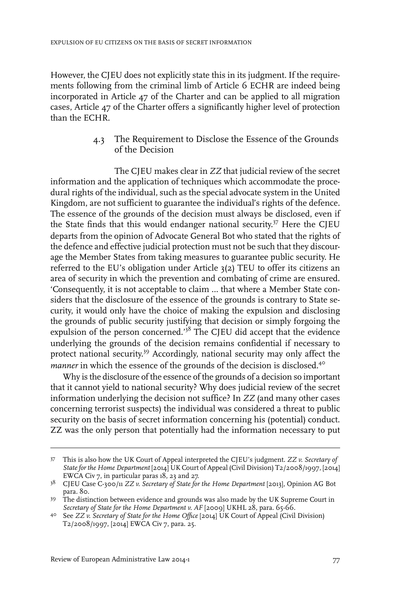However, the CJEU does not explicitly state this in its judgment. If the requirements following from the criminal limb of Article 6 ECHR are indeed being incorporated in Article 47 of the Charter and can be applied to all migration cases, Article 47 of the Charter offers a significantly higher level of protection than the ECHR.

#### 4.3 The Requirement to Disclose the Essence of the Grounds of the Decision

The CJEU makes clear in *ZZ* that judicial review of the secret information and the application of techniques which accommodate the procedural rights of the individual, such as the special advocate system in the United Kingdom, are not sufficient to guarantee the individual's rights of the defence. The essence of the grounds of the decision must always be disclosed, even if the State finds that this would endanger national security. <sup>37</sup> Here the CJEU departs from the opinion of Advocate General Bot who stated that the rights of the defence and effective judicial protection must not be such that they discourage the Member States from taking measures to guarantee public security. He referred to the EU's obligation under Article 3(2) TEU to offer its citizens an area of security in which the prevention and combating of crime are ensured. 'Consequently, it is not acceptable to claim … that where a Member State considers that the disclosure of the essence of the grounds is contrary to State security, it would only have the choice of making the expulsion and disclosing the grounds of public security justifying that decision or simply forgoing the expulsion of the person concerned.'<sup>38</sup> The CJEU did accept that the evidence underlying the grounds of the decision remains confidential if necessary to protect national security.<sup>39</sup> Accordingly, national security may only affect the *manner* in which the essence of the grounds of the decision is disclosed.<sup>40</sup>

Why is the disclosure of the essence of the grounds of a decision so important that it cannot yield to national security? Why does judicial review of the secret information underlying the decision not suffice? In *ZZ* (and many other cases concerning terrorist suspects) the individual was considered a threat to public security on the basis of secret information concerning his (potential) conduct. ZZ was the only person that potentially had the information necessary to put

This is also how the UK Court of Appeal interpreted the CJEU's judgment. *ZZ v. Secretary of* 37 *Statefor the Home Department* [2014] UK Court of Appeal (Civil Division) T2/2008/1997, [2014] EWCA Civ 7, in particular paras 18, 23 and 27.

CJEU Case C-300/11 *ZZ v. Secretary of State for the Home Department* [2013], Opinion AG Bot 38 para. 80.

The distinction between evidence and grounds was also made by the UK Supreme Court in 39 *Secretary of State for the Home Department v. AF* [2009] UKHL 28, para. 65-66.

See *ZZ v. Secretary of State for the Home Office* [2014] UK Court of Appeal (Civil Division) 40 T2/2008/1997, [2014] EWCA Civ 7, para. 25.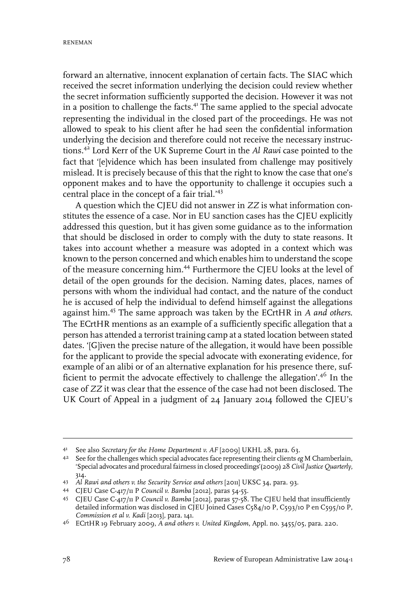forward an alternative, innocent explanation of certain facts. The SIAC which received the secret information underlying the decision could review whether the secret information sufficiently supported the decision. However it was not in a position to challenge the facts.<sup>41</sup> The same applied to the special advocate representing the individual in the closed part of the proceedings. He was not allowed to speak to his client after he had seen the confidential information underlying the decision and therefore could not receive the necessary instructions.<sup>42</sup> Lord Kerr of the UK Supreme Court in the *Al Rawi* case pointed to the fact that '[e]vidence which has been insulated from challenge may positively mislead. It is precisely because of this that the right to know the case that one's opponent makes and to have the opportunity to challenge it occupies such a central place in the concept of a fair trial.'<sup>43</sup>

A question which the CJEU did not answer in *ZZ* is what information constitutes the essence of a case. Nor in EU sanction cases has the CJEU explicitly addressed this question, but it has given some guidance as to the information that should be disclosed in order to comply with the duty to state reasons. It takes into account whether a measure was adopted in a context which was known to the person concerned and which enables him to understand the scope of the measure concerning him.<sup>44</sup> Furthermore the CJEU looks at the level of detail of the open grounds for the decision. Naming dates, places, names of persons with whom the individual had contact, and the nature of the conduct he is accused of help the individual to defend himself against the allegations against him.<sup>45</sup> The same approach was taken by the ECrtHR in *A and others*. The ECrtHR mentions as an example of a sufficiently specific allegation that a person has attended a terrorist training camp at a stated location between stated dates. '[G]iven the precise nature of the allegation, it would have been possible for the applicant to provide the special advocate with exonerating evidence, for example of an alibi or of an alternative explanation for his presence there, sufficient to permit the advocate effectively to challenge the allegation'.<sup>46</sup> In the case of *ZZ* it was clear that the essence of the case had not been disclosed. The UK Court of Appeal in a judgment of 24 January 2014 followed the CJEU's

See also *Secretary for the Home Department v. AF* [2009] UKHL 28, para. 63. <sup>41</sup>

<sup>&</sup>lt;sup>42</sup> See for the challenges which special advocates face representing their clients *eg* M Chamberlain, 'Special advocates and procedural fairness in closed proceedings'(2009) 28 *CivilJustice Quarterly*, 314.

*Al Rawi and others v. the Security Service and others* [2011] UKSC 34, para. 93. <sup>43</sup>

CJEU Case C-417/11 P *Council v. Bamba* [2012], paras 54-55. <sup>44</sup>

CJEU Case C-417/11 P *Council v. Bamba* [2012], paras 57-58. The CJEU held that insufficiently 45 detailed information was disclosed in CJEU Joined Cases C584/10 P, C593/10 P en C595/10 P, *Commission et al v. Kadi* [2013]*,* para. 141.

ECrtHR 19 February 2009, *A and others v. United Kingdom*, Appl. no. 3455/05, para. 220. <sup>46</sup>